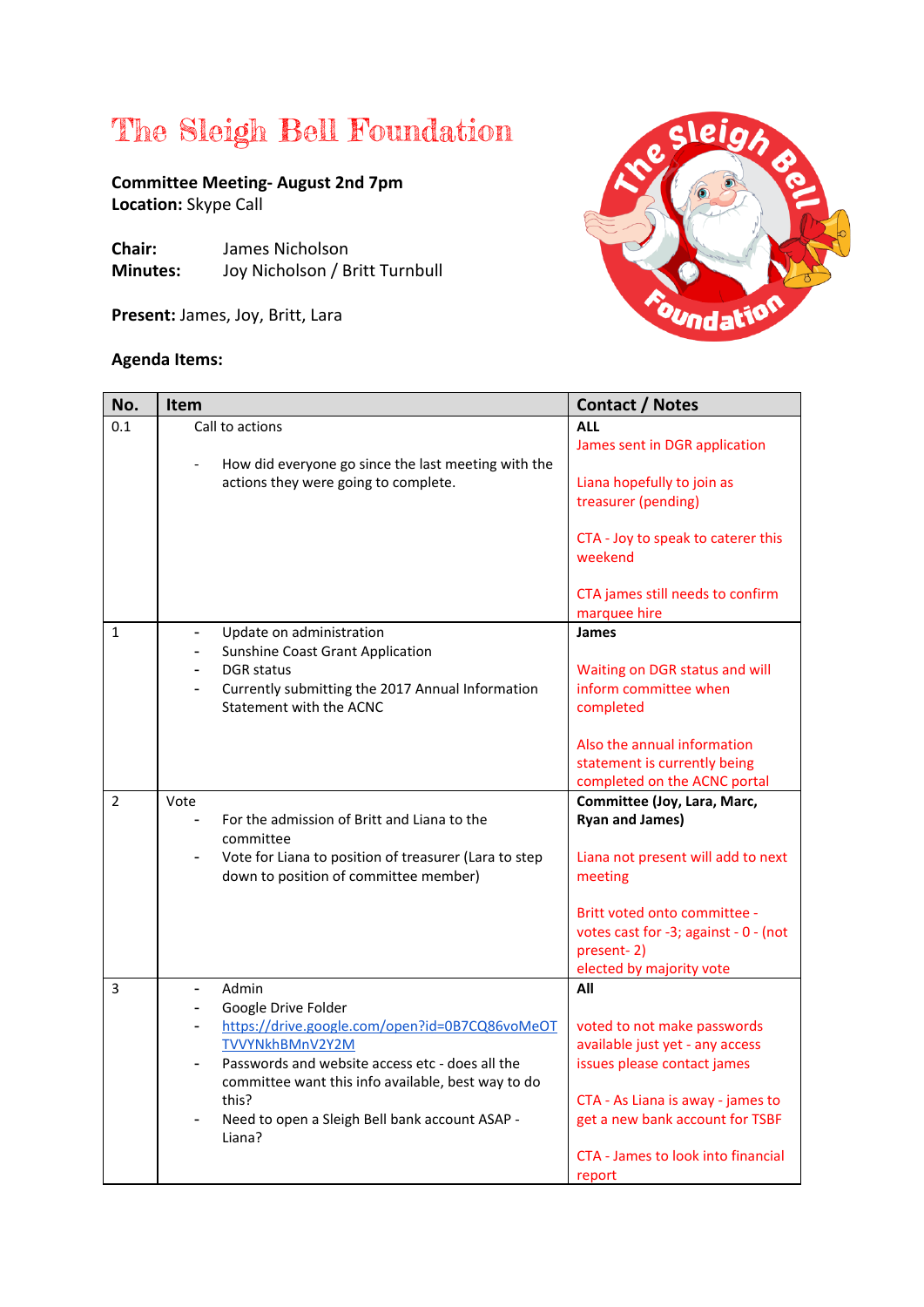## The Sleigh Bell Foundation

**Committee Meeting- August 2nd 7pm Location:** Skype Call

**Chair:** James Nicholson<br>**Minutes:** Joy Nicholson / B **Minutes:** Joy Nicholson / Britt Turnbull

**Present:** James, Joy, Britt, Lara

# clei *Undatio*

#### **Agenda Items:**

| No.            | Item                                                                                                                                                                                                                                                                                                                                                      | <b>Contact / Notes</b>                                                                                                                                                                                                       |
|----------------|-----------------------------------------------------------------------------------------------------------------------------------------------------------------------------------------------------------------------------------------------------------------------------------------------------------------------------------------------------------|------------------------------------------------------------------------------------------------------------------------------------------------------------------------------------------------------------------------------|
| 0.1            | Call to actions<br>How did everyone go since the last meeting with the<br>actions they were going to complete.                                                                                                                                                                                                                                            | <b>ALL</b><br>James sent in DGR application<br>Liana hopefully to join as<br>treasurer (pending)<br>CTA - Joy to speak to caterer this<br>weekend                                                                            |
|                |                                                                                                                                                                                                                                                                                                                                                           | CTA james still needs to confirm<br>marquee hire                                                                                                                                                                             |
| $\mathbf{1}$   | Update on administration<br>$\overline{\phantom{0}}$<br><b>Sunshine Coast Grant Application</b><br><b>DGR</b> status<br>Currently submitting the 2017 Annual Information<br>Statement with the ACNC                                                                                                                                                       | James<br>Waiting on DGR status and will<br>inform committee when<br>completed<br>Also the annual information<br>statement is currently being<br>completed on the ACNC portal                                                 |
| $\overline{2}$ | Vote<br>For the admission of Britt and Liana to the<br>committee<br>Vote for Liana to position of treasurer (Lara to step<br>down to position of committee member)                                                                                                                                                                                        | Committee (Joy, Lara, Marc,<br><b>Ryan and James)</b><br>Liana not present will add to next<br>meeting<br>Britt voted onto committee -<br>votes cast for -3; against - 0 - (not<br>present-2)<br>elected by majority vote    |
| 3              | Admin<br>$\blacksquare$<br>Google Drive Folder<br>$\overline{\phantom{0}}$<br>https://drive.google.com/open?id=0B7CQ86voMeOT<br>TVVYNkhBMnV2Y2M<br>Passwords and website access etc - does all the<br>$\overline{\phantom{0}}$<br>committee want this info available, best way to do<br>this?<br>Need to open a Sleigh Bell bank account ASAP -<br>Liana? | All<br>voted to not make passwords<br>available just yet - any access<br>issues please contact james<br>CTA - As Liana is away - james to<br>get a new bank account for TSBF<br>CTA - James to look into financial<br>report |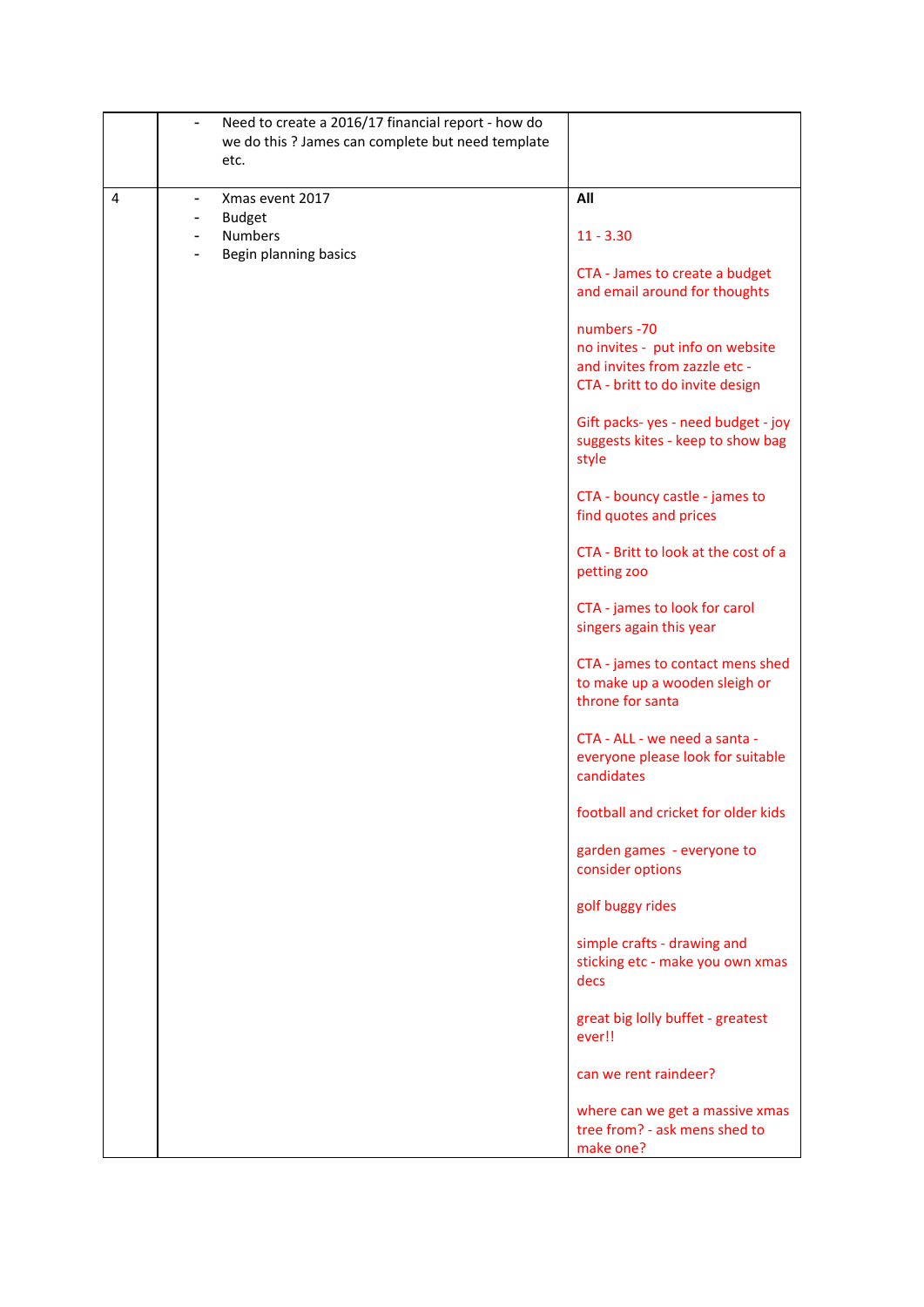|   | Need to create a 2016/17 financial report - how do<br>$\blacksquare$<br>we do this ? James can complete but need template<br>etc. |                                                                                                                     |
|---|-----------------------------------------------------------------------------------------------------------------------------------|---------------------------------------------------------------------------------------------------------------------|
| 4 | Xmas event 2017<br>$\blacksquare$                                                                                                 | All                                                                                                                 |
|   | <b>Budget</b><br>$\blacksquare$<br><b>Numbers</b><br>$\overline{\phantom{a}}$                                                     | $11 - 3.30$                                                                                                         |
|   | Begin planning basics<br>$\overline{\phantom{a}}$                                                                                 | CTA - James to create a budget<br>and email around for thoughts                                                     |
|   |                                                                                                                                   | numbers -70<br>no invites - put info on website<br>and invites from zazzle etc -<br>CTA - britt to do invite design |
|   |                                                                                                                                   | Gift packs-yes - need budget - joy<br>suggests kites - keep to show bag<br>style                                    |
|   |                                                                                                                                   | CTA - bouncy castle - james to<br>find quotes and prices                                                            |
|   |                                                                                                                                   | CTA - Britt to look at the cost of a<br>petting zoo                                                                 |
|   |                                                                                                                                   | CTA - james to look for carol<br>singers again this year                                                            |
|   |                                                                                                                                   | CTA - james to contact mens shed<br>to make up a wooden sleigh or<br>throne for santa                               |
|   |                                                                                                                                   | CTA - ALL - we need a santa -<br>everyone please look for suitable<br>candidates                                    |
|   |                                                                                                                                   | football and cricket for older kids                                                                                 |
|   |                                                                                                                                   | garden games - everyone to<br>consider options                                                                      |
|   |                                                                                                                                   | golf buggy rides                                                                                                    |
|   |                                                                                                                                   | simple crafts - drawing and<br>sticking etc - make you own xmas<br>decs                                             |
|   |                                                                                                                                   | great big lolly buffet - greatest<br>ever!!                                                                         |
|   |                                                                                                                                   | can we rent raindeer?                                                                                               |
|   |                                                                                                                                   | where can we get a massive xmas<br>tree from? - ask mens shed to<br>make one?                                       |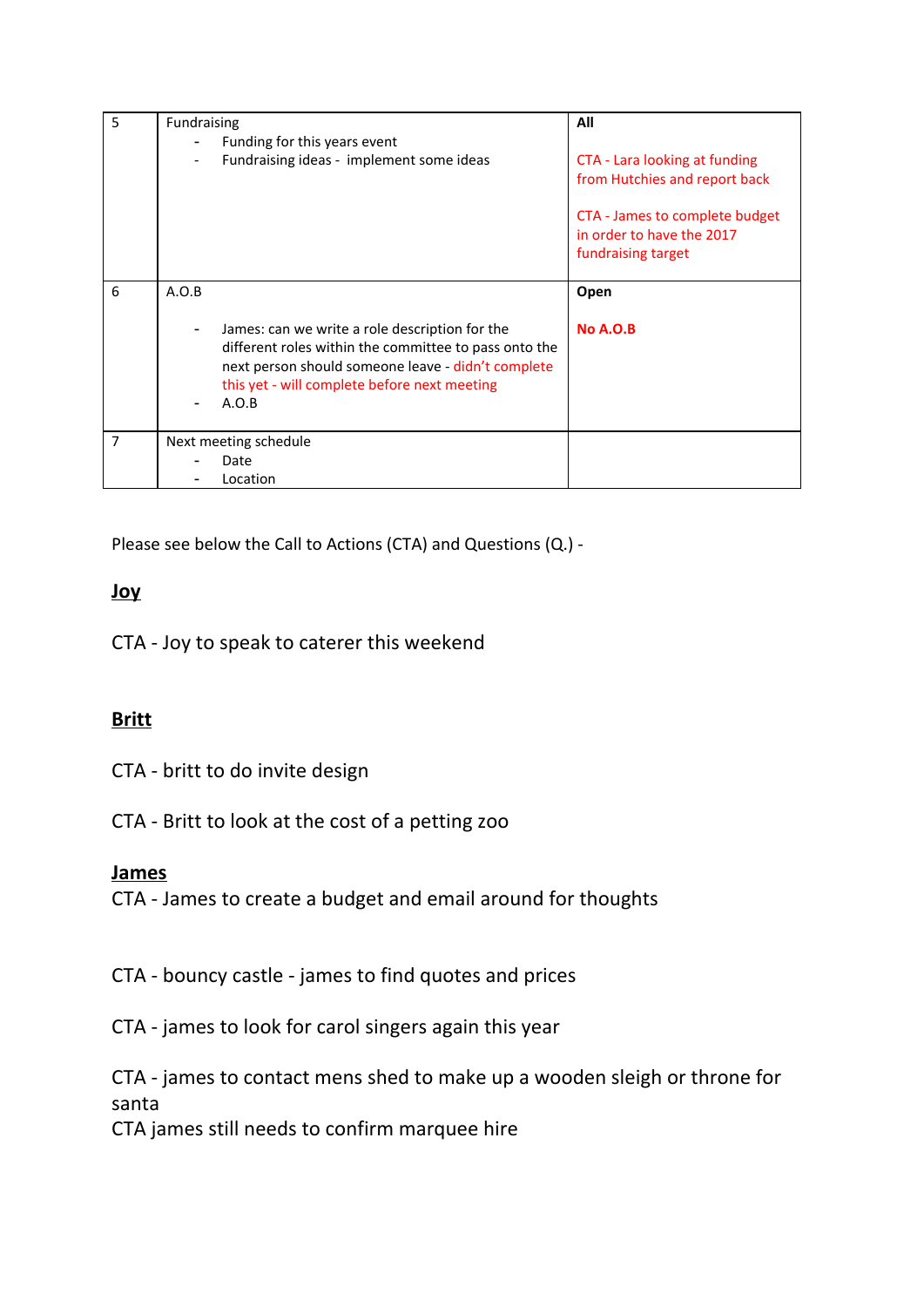| 5              | <b>Fundraising</b>    |                                                       | All                            |
|----------------|-----------------------|-------------------------------------------------------|--------------------------------|
|                |                       | Funding for this years event                          |                                |
|                |                       | Fundraising ideas - implement some ideas              | CTA - Lara looking at funding  |
|                |                       |                                                       | from Hutchies and report back  |
|                |                       |                                                       | CTA - James to complete budget |
|                |                       |                                                       | in order to have the 2017      |
|                |                       |                                                       | fundraising target             |
|                |                       |                                                       |                                |
| 6              | A.O.B                 |                                                       | Open                           |
|                |                       |                                                       |                                |
|                |                       | James: can we write a role description for the        | <b>No A.O.B</b>                |
|                |                       | different roles within the committee to pass onto the |                                |
|                |                       | next person should someone leave - didn't complete    |                                |
|                |                       | this yet - will complete before next meeting<br>A.O.B |                                |
|                |                       |                                                       |                                |
| $\overline{7}$ | Next meeting schedule |                                                       |                                |
|                |                       | Date                                                  |                                |
|                |                       | Location                                              |                                |

Please see below the Call to Actions (CTA) and Questions (Q.) -

#### **Joy**

CTA - Joy to speak to caterer this weekend

### **Britt**

- CTA britt to do invite design
- CTA Britt to look at the cost of a petting zoo

#### **James**

CTA - James to create a budget and email around for thoughts

CTA - bouncy castle - james to find quotes and prices

CTA - james to look for carol singers again this year

CTA - james to contact mens shed to make up a wooden sleigh or throne for santa

CTA james still needs to confirm marquee hire